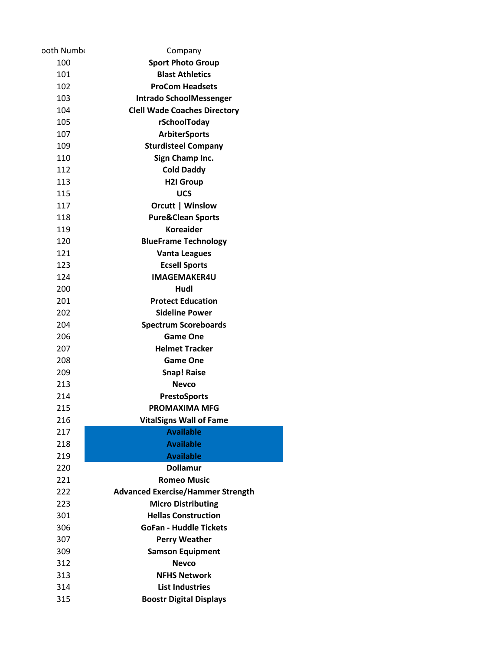| ooth Numb  | Company                                            |
|------------|----------------------------------------------------|
| 100        | <b>Sport Photo Group</b>                           |
| 101        | <b>Blast Athletics</b>                             |
| 102        | <b>ProCom Headsets</b>                             |
| 103        | <b>Intrado SchoolMessenger</b>                     |
| 104        | <b>Clell Wade Coaches Directory</b>                |
| 105        | rSchoolToday                                       |
| 107        | <b>ArbiterSports</b>                               |
| 109        | <b>Sturdisteel Company</b>                         |
| 110        | Sign Champ Inc.                                    |
| 112        | <b>Cold Daddy</b>                                  |
| 113        | <b>H2I Group</b>                                   |
| 115        | <b>UCS</b>                                         |
| 117        | Orcutt   Winslow                                   |
| 118        | <b>Pure&amp;Clean Sports</b>                       |
| 119        | <b>Koreaider</b>                                   |
| 120        | <b>BlueFrame Technology</b>                        |
| 121        | <b>Vanta Leagues</b>                               |
| 123        | <b>Ecsell Sports</b>                               |
| 124        | <b>IMAGEMAKER4U</b>                                |
| 200        | Hudl                                               |
| 201        | <b>Protect Education</b>                           |
| 202        | <b>Sideline Power</b>                              |
| 204        | <b>Spectrum Scoreboards</b>                        |
| 206        | Game One                                           |
| 207        | <b>Helmet Tracker</b>                              |
| 208        | <b>Game One</b>                                    |
| 209        | <b>Snap! Raise</b>                                 |
| 213        | Nevco                                              |
| 214        | <b>PrestoSports</b>                                |
| 215        | <b>PROMAXIMA MFG</b>                               |
| 216<br>217 | <b>VitalSigns Wall of Fame</b><br><b>Available</b> |
| 218        | <b>Available</b>                                   |
| 219        | <b>Available</b>                                   |
| 220        | <b>Dollamur</b>                                    |
| 221        | Romeo Music                                        |
| 222        | <b>Advanced Exercise/Hammer Strength</b>           |
| 223        | <b>Micro Distributing</b>                          |
| 301        | <b>Hellas Construction</b>                         |
| 306        | <b>GoFan - Huddle Tickets</b>                      |
| 307        | <b>Perry Weather</b>                               |
| 309        | <b>Samson Equipment</b>                            |
| 312        | <b>Nevco</b>                                       |
| 313        | <b>NFHS Network</b>                                |
| 314        | <b>List Industries</b>                             |
| 315        | <b>Boostr Digital Displays</b>                     |
|            |                                                    |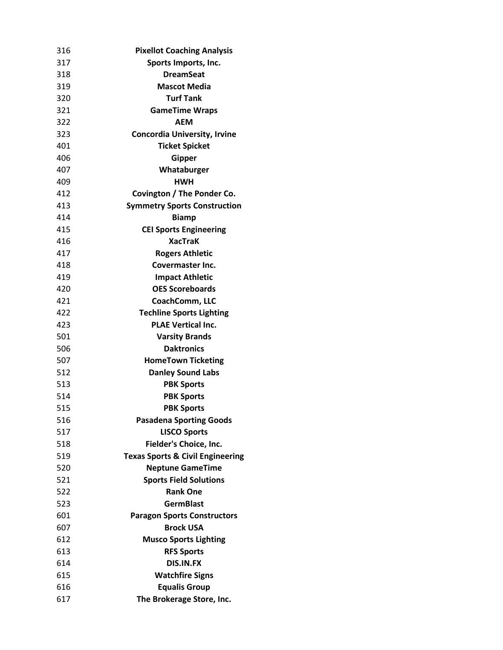| 316 | <b>Pixellot Coaching Analysis</b>           |
|-----|---------------------------------------------|
| 317 | Sports Imports, Inc.                        |
| 318 | <b>DreamSeat</b>                            |
| 319 | <b>Mascot Media</b>                         |
| 320 | <b>Turf Tank</b>                            |
| 321 | <b>GameTime Wraps</b>                       |
| 322 | AEM                                         |
| 323 | <b>Concordia University, Irvine</b>         |
| 401 | <b>Ticket Spicket</b>                       |
| 406 | <b>Gipper</b>                               |
| 407 | Whataburger                                 |
| 409 | <b>HWH</b>                                  |
| 412 | Covington / The Ponder Co.                  |
| 413 | <b>Symmetry Sports Construction</b>         |
| 414 | <b>Biamp</b>                                |
| 415 | <b>CEI Sports Engineering</b>               |
| 416 | <b>XacTraK</b>                              |
| 417 | <b>Rogers Athletic</b>                      |
| 418 | Covermaster Inc.                            |
| 419 | <b>Impact Athletic</b>                      |
| 420 | <b>OES Scoreboards</b>                      |
| 421 | CoachComm, LLC                              |
| 422 | <b>Techline Sports Lighting</b>             |
| 423 | <b>PLAE Vertical Inc.</b>                   |
| 501 | <b>Varsity Brands</b>                       |
| 506 | <b>Daktronics</b>                           |
| 507 | <b>HomeTown Ticketing</b>                   |
| 512 | <b>Danley Sound Labs</b>                    |
| 513 | <b>PBK Sports</b>                           |
| 514 | <b>PBK Sports</b>                           |
| 515 | <b>PBK Sports</b>                           |
| 516 | <b>Pasadena Sporting Goods</b>              |
| 517 | <b>LISCO Sports</b>                         |
| 518 | Fielder's Choice, Inc.                      |
| 519 | <b>Texas Sports &amp; Civil Engineering</b> |
| 520 | <b>Neptune GameTime</b>                     |
| 521 | <b>Sports Field Solutions</b>               |
| 522 | <b>Rank One</b>                             |
| 523 | <b>GermBlast</b>                            |
| 601 | <b>Paragon Sports Constructors</b>          |
| 607 | <b>Brock USA</b>                            |
| 612 | <b>Musco Sports Lighting</b>                |
| 613 | <b>RFS Sports</b>                           |
| 614 | <b>DIS.IN.FX</b>                            |
| 615 | <b>Watchfire Signs</b>                      |
| 616 | <b>Equalis Group</b>                        |
| 617 | The Brokerage Store, Inc.                   |
|     |                                             |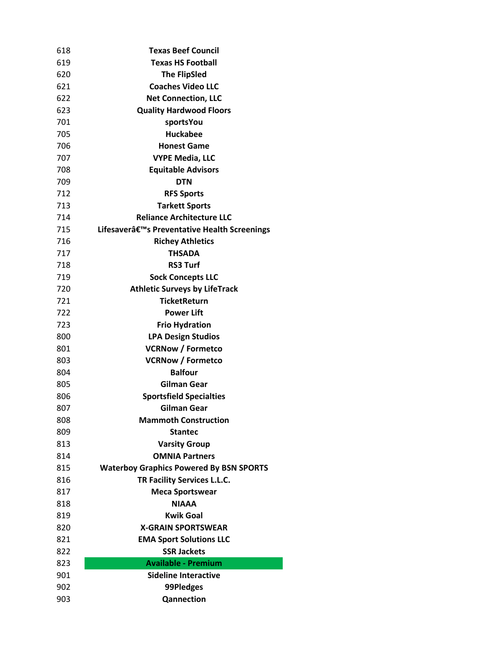| 618 | <b>Texas Beef Council</b>                      |
|-----|------------------------------------------------|
| 619 | <b>Texas HS Football</b>                       |
| 620 | <b>The FlipSled</b>                            |
| 621 | <b>Coaches Video LLC</b>                       |
| 622 | <b>Net Connection, LLC</b>                     |
| 623 | <b>Quality Hardwood Floors</b>                 |
| 701 | sportsYou                                      |
| 705 | <b>Huckabee</b>                                |
| 706 | <b>Honest Game</b>                             |
| 707 | <b>VYPE Media, LLC</b>                         |
| 708 | <b>Equitable Advisors</b>                      |
| 709 | <b>DTN</b>                                     |
| 712 | <b>RFS Sports</b>                              |
| 713 | <b>Tarkett Sports</b>                          |
| 714 | <b>Reliance Architecture LLC</b>               |
| 715 | Lifesaver's Preventative Health Screenings     |
| 716 | <b>Richey Athletics</b>                        |
| 717 | THSADA                                         |
| 718 | <b>RS3 Turf</b>                                |
| 719 | <b>Sock Concepts LLC</b>                       |
| 720 | <b>Athletic Surveys by LifeTrack</b>           |
| 721 | <b>TicketReturn</b>                            |
| 722 | Power Lift                                     |
| 723 | <b>Frio Hydration</b>                          |
| 800 | <b>LPA Design Studios</b>                      |
| 801 | <b>VCRNow / Formetco</b>                       |
| 803 | <b>VCRNow / Formetco</b>                       |
| 804 | <b>Balfour</b>                                 |
| 805 | <b>Gilman Gear</b>                             |
| 806 | <b>Sportsfield Specialties</b>                 |
| 807 | Gilman Gear                                    |
| 808 | <b>Mammoth Construction</b>                    |
| 809 | <b>Stantec</b>                                 |
| 813 | <b>Varsity Group</b>                           |
| 814 | <b>OMNIA Partners</b>                          |
| 815 | <b>Waterboy Graphics Powered By BSN SPORTS</b> |
| 816 | TR Facility Services L.L.C.                    |
| 817 | <b>Meca Sportswear</b>                         |
| 818 | <b>NIAAA</b>                                   |
| 819 | <b>Kwik Goal</b>                               |
| 820 | <b>X-GRAIN SPORTSWEAR</b>                      |
| 821 | <b>EMA Sport Solutions LLC</b>                 |
| 822 | <b>SSR Jackets</b>                             |
| 823 | <b>Available - Premium</b>                     |
| 901 | Sideline Interactive                           |
| 902 | 99Pledges                                      |
| 903 | Qannection                                     |